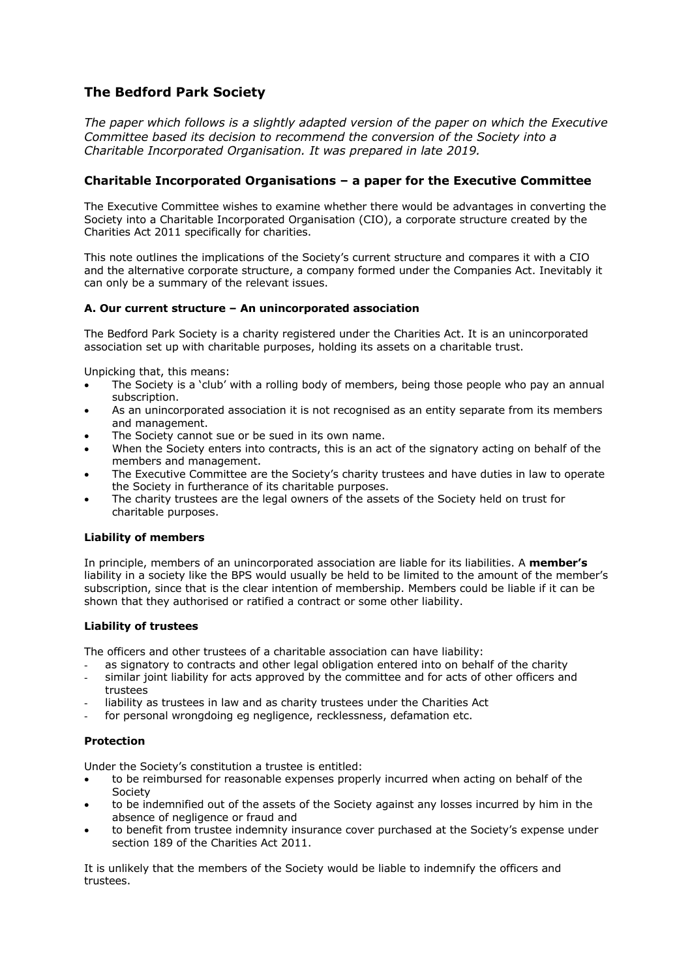# **The Bedford Park Society**

*The paper which follows is a slightly adapted version of the paper on which the Executive Committee based its decision to recommend the conversion of the Society into a Charitable Incorporated Organisation. It was prepared in late 2019.*

# **Charitable Incorporated Organisations – a paper for the Executive Committee**

The Executive Committee wishes to examine whether there would be advantages in converting the Society into a Charitable Incorporated Organisation (CIO), a corporate structure created by the Charities Act 2011 specifically for charities.

This note outlines the implications of the Society's current structure and compares it with a CIO and the alternative corporate structure, a company formed under the Companies Act. Inevitably it can only be a summary of the relevant issues.

# **A. Our current structure – An unincorporated association**

The Bedford Park Society is a charity registered under the Charities Act. It is an unincorporated association set up with charitable purposes, holding its assets on a charitable trust.

Unpicking that, this means:

- The Society is a 'club' with a rolling body of members, being those people who pay an annual subscription.
- As an unincorporated association it is not recognised as an entity separate from its members and management.
- The Society cannot sue or be sued in its own name.
- When the Society enters into contracts, this is an act of the signatory acting on behalf of the members and management.
- The Executive Committee are the Society's charity trustees and have duties in law to operate the Society in furtherance of its charitable purposes.
- The charity trustees are the legal owners of the assets of the Society held on trust for charitable purposes.

# **Liability of members**

In principle, members of an unincorporated association are liable for its liabilities. A **member's**  liability in a society like the BPS would usually be held to be limited to the amount of the member's subscription, since that is the clear intention of membership. Members could be liable if it can be shown that they authorised or ratified a contract or some other liability.

# **Liability of trustees**

The officers and other trustees of a charitable association can have liability:

- as signatory to contracts and other legal obligation entered into on behalf of the charity similar joint liability for acts approved by the committee and for acts of other officers and
- trustees
- liability as trustees in law and as charity trustees under the Charities Act
- for personal wrongdoing eg negligence, recklessness, defamation etc.

# **Protection**

Under the Society's constitution a trustee is entitled:

- to be reimbursed for reasonable expenses properly incurred when acting on behalf of the Society
- to be indemnified out of the assets of the Society against any losses incurred by him in the absence of negligence or fraud and
- to benefit from trustee indemnity insurance cover purchased at the Society's expense under section 189 of the Charities Act 2011.

It is unlikely that the members of the Society would be liable to indemnify the officers and trustees.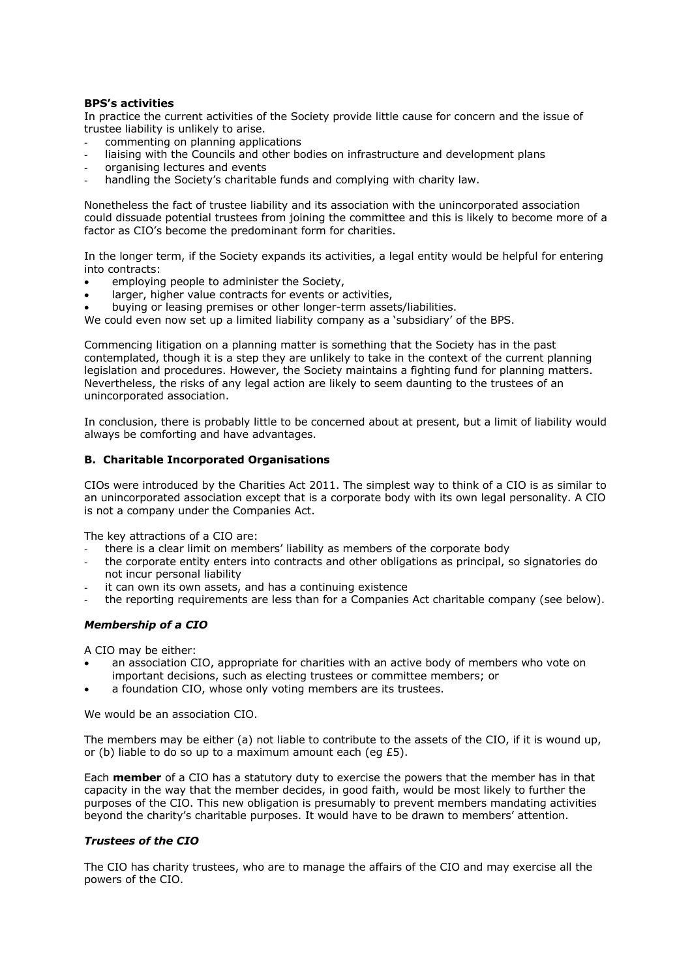# **BPS's activities**

In practice the current activities of the Society provide little cause for concern and the issue of trustee liability is unlikely to arise.

- commenting on planning applications
- liaising with the Councils and other bodies on infrastructure and development plans
- organising lectures and events
- handling the Society's charitable funds and complying with charity law.

Nonetheless the fact of trustee liability and its association with the unincorporated association could dissuade potential trustees from joining the committee and this is likely to become more of a factor as CIO's become the predominant form for charities.

In the longer term, if the Society expands its activities, a legal entity would be helpful for entering into contracts:

- employing people to administer the Society,
- larger, higher value contracts for events or activities,

• buying or leasing premises or other longer-term assets/liabilities.

We could even now set up a limited liability company as a 'subsidiary' of the BPS.

Commencing litigation on a planning matter is something that the Society has in the past contemplated, though it is a step they are unlikely to take in the context of the current planning legislation and procedures. However, the Society maintains a fighting fund for planning matters. Nevertheless, the risks of any legal action are likely to seem daunting to the trustees of an unincorporated association.

In conclusion, there is probably little to be concerned about at present, but a limit of liability would always be comforting and have advantages.

#### **B. Charitable Incorporated Organisations**

CIOs were introduced by the Charities Act 2011. The simplest way to think of a CIO is as similar to an unincorporated association except that is a corporate body with its own legal personality. A CIO is not a company under the Companies Act.

The key attractions of a CIO are:

- there is a clear limit on members' liability as members of the corporate body
- the corporate entity enters into contracts and other obligations as principal, so signatories do not incur personal liability
- it can own its own assets, and has a continuing existence
- the reporting requirements are less than for a Companies Act charitable company (see below).

# *Membership of a CIO*

A CIO may be either:

- an association CIO, appropriate for charities with an active body of members who vote on important decisions, such as electing trustees or committee members; or
- a foundation CIO, whose only voting members are its trustees.

We would be an association CIO.

The members may be either (a) not liable to contribute to the assets of the CIO, if it is wound up, or (b) liable to do so up to a maximum amount each (eg £5).

Each **member** of a CIO has a statutory duty to exercise the powers that the member has in that capacity in the way that the member decides, in good faith, would be most likely to further the purposes of the CIO. This new obligation is presumably to prevent members mandating activities beyond the charity's charitable purposes. It would have to be drawn to members' attention.

# *Trustees of the CIO*

The CIO has charity trustees, who are to manage the affairs of the CIO and may exercise all the powers of the CIO.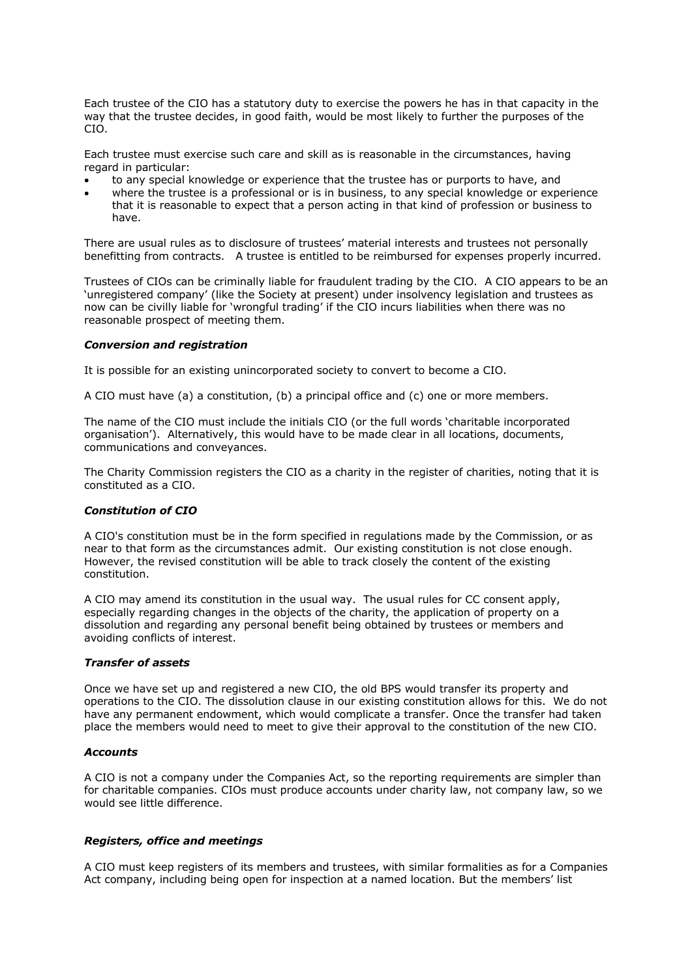Each trustee of the CIO has a statutory duty to exercise the powers he has in that capacity in the way that the trustee decides, in good faith, would be most likely to further the purposes of the CIO.

Each trustee must exercise such care and skill as is reasonable in the circumstances, having regard in particular:

- to any special knowledge or experience that the trustee has or purports to have, and
- where the trustee is a professional or is in business, to any special knowledge or experience that it is reasonable to expect that a person acting in that kind of profession or business to have.

There are usual rules as to disclosure of trustees' material interests and trustees not personally benefitting from contracts. A trustee is entitled to be reimbursed for expenses properly incurred.

Trustees of CIOs can be criminally liable for fraudulent trading by the CIO. A CIO appears to be an 'unregistered company' (like the Society at present) under insolvency legislation and trustees as now can be civilly liable for 'wrongful trading' if the CIO incurs liabilities when there was no reasonable prospect of meeting them.

#### *Conversion and registration*

It is possible for an existing unincorporated society to convert to become a CIO.

A CIO must have (a) a constitution, (b) a principal office and (c) one or more members.

The name of the CIO must include the initials CIO (or the full words 'charitable incorporated organisation'). Alternatively, this would have to be made clear in all locations, documents, communications and conveyances.

The Charity Commission registers the CIO as a charity in the register of charities, noting that it is constituted as a CIO.

# *Constitution of CIO*

A CIO's constitution must be in the form specified in regulations made by the Commission, or as near to that form as the circumstances admit. Our existing constitution is not close enough. However, the revised constitution will be able to track closely the content of the existing constitution.

A CIO may amend its constitution in the usual way. The usual rules for CC consent apply, especially regarding changes in the objects of the charity, the application of property on a dissolution and regarding any personal benefit being obtained by trustees or members and avoiding conflicts of interest.

#### *Transfer of assets*

Once we have set up and registered a new CIO, the old BPS would transfer its property and operations to the CIO. The dissolution clause in our existing constitution allows for this. We do not have any permanent endowment, which would complicate a transfer. Once the transfer had taken place the members would need to meet to give their approval to the constitution of the new CIO.

# *Accounts*

A CIO is not a company under the Companies Act, so the reporting requirements are simpler than for charitable companies. CIOs must produce accounts under charity law, not company law, so we would see little difference.

# *Registers, office and meetings*

A CIO must keep registers of its members and trustees, with similar formalities as for a Companies Act company, including being open for inspection at a named location. But the members' list